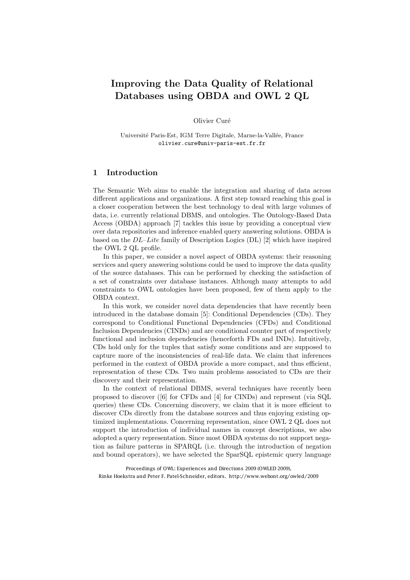# Improving the Data Quality of Relational Databases using OBDA and OWL 2 QL

Olivier Curé

Université Paris-Est, IGM Terre Digitale, Marne-la-Vallée, France olivier.cure@univ-paris-est.fr.fr

## 1 Introduction

The Semantic Web aims to enable the integration and sharing of data across different applications and organizations. A first step toward reaching this goal is a closer cooperation between the best technology to deal with large volumes of data, i.e. currently relational DBMS, and ontologies. The Ontology-Based Data Access (OBDA) approach [7] tackles this issue by providing a conceptual view over data repositories and inference enabled query answering solutions. OBDA is based on the *DL*–*Lite* family of Description Logics (DL) [2] which have inspired the OWL 2 QL profile.

In this paper, we consider a novel aspect of OBDA systems: their reasoning services and query answering solutions could be used to improve the data quality of the source databases. This can be performed by checking the satisfaction of a set of constraints over database instances. Although many attempts to add constraints to OWL ontologies have been proposed, few of them apply to the OBDA context.

In this work, we consider novel data dependencies that have recently been introduced in the database domain [5]: Conditional Dependencies (CDs). They correspond to Conditional Functional Dependencies (CFDs) and Conditional Inclusion Dependencies (CINDs) and are conditional counter part of respectively functional and inclusion dependencies (henceforth FDs and INDs). Intuitively, CDs hold only for the tuples that satisfy some conditions and are supposed to capture more of the inconsistencies of real-life data. We claim that inferences performed in the context of OBDA provide a more compact, and thus efficient, representation of these CDs. Two main problems associated to CDs are their discovery and their representation.

In the context of relational DBMS, several techniques have recently been proposed to discover ([6] for CFDs and [4] for CINDs) and represent (via SQL queries) these CDs. Concerning discovery, we claim that it is more efficient to discover CDs directly from the database sources and thus enjoying existing optimized implementations. Concerning representation, since OWL 2 QL does not support the introduction of individual names in concept descriptions, we also adopted a query representation. Since most OBDA systems do not support negation as failure patterns in SPARQL (i.e. through the introduction of negation and bound operators), we have selected the SparSQL epistemic query language

Proceedings of OWL: Experiences and Directions 2009 (OWLED 2009), Rinke Hoekstra and Peter F. Patel-Schneider, editors. http://www.webont.org/owled/2009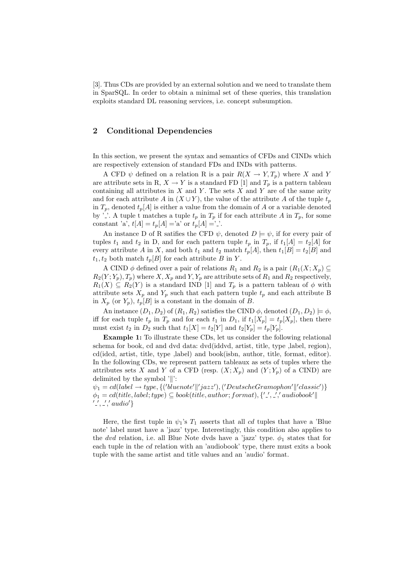[3]. Thus CDs are provided by an external solution and we need to translate them in SparSQL. In order to obtain a minimal set of these queries, this translation exploits standard DL reasoning services, i.e. concept subsumption.

## 2 Conditional Dependencies

In this section, we present the syntax and semantics of CFDs and CINDs which are respectively extension of standard FDs and INDs with patterns.

A CFD  $\psi$  defined on a relation R is a pair  $R(X \to Y, T_p)$  where X and Y are attribute sets in R,  $X \to Y$  is a standard FD [1] and  $T_p$  is a pattern tableau containing all attributes in *X* and *Y* . The sets *X* and *Y* are of the same arity and for each attribute *A* in  $(X \cup Y)$ , the value of the attribute *A* of the tuple  $t_p$ in  $T_p$ , denoted  $t_p[A]$  is either a value from the domain of A or a variable denoted by '.'. A tuple t matches a tuple  $t_p$  in  $T_p$  if for each attribute A in  $T_p$ , for some constant 'a',  $t[A] = t_p[A] = a'$  or  $t_p[A] = '$ .

An instance D of R satifies the CFD  $\psi$ , denoted  $D \models \psi$ , if for every pair of tuples  $t_1$  and  $t_2$  in D, and for each pattern tuple  $t_p$  in  $T_p$ , if  $t_1[A] = t_2[A]$  for every attribute *A* in *X*, and both  $t_1$  and  $t_2$  match  $t_p[A]$ , then  $t_1[B] = t_2[B]$  and  $t_1, t_2$  both match  $t_p[B]$  for each attribute *B* in *Y*.

A CIND  $\phi$  defined over a pair of relations  $R_1$  and  $R_2$  is a pair  $(R_1(X; X_p) \subseteq$  $R_2(Y; Y_p), T_p$  where  $X, X_p$  and  $Y, Y_p$  are attribute sets of  $R_1$  and  $R_2$  respectively,  $R_1(X) \subseteq R_2(Y)$  is a standard IND [1] and  $T_p$  is a pattern tableau of  $\phi$  with attribute sets  $X_p$  and  $Y_p$  such that each pattern tuple  $t_p$  and each attribute B in  $X_p$  (or  $Y_p$ ),  $t_p[B]$  is a constant in the domain of *B*.

An instance  $(D_1, D_2)$  of  $(R_1, R_2)$  satisfies the CIND  $\phi$ , denoted  $(D_1, D_2) \models \phi$ , iff for each tuple  $t_p$  in  $T_p$  and for each  $t_1$  in  $D_1$ , if  $t_1[X_p] = t_p[X_p]$ , then there must exist  $t_2$  in  $D_2$  such that  $t_1[X] = t_2[Y]$  and  $t_2[Y_p] = t_p[Y_p]$ .

Example 1: To illustrate these CDs, let us consider the following relational schema for book, cd and dvd data: dvd(iddvd, artist, title, type ,label, region), cd(idcd, artist, title, type ,label) and book(isbn, author, title, format, editor). In the following CDs, we represent pattern tableaux as sets of tuples where the attributes sets *X* and *Y* of a CFD (resp.  $(X; X_p)$  and  $(Y; Y_p)$  of a CIND) are delimited by the symbol  $'\|$ :

 $\psi_1 = cd(label \rightarrow type, \{('bluenote' ||'jazz'),('DeutscheGramophon' ||'classic')\}$  $\phi_1 = cd(\text{title}, \text{label}; type) \subseteq book(\text{title}, \text{author}; \text{format}), \{''.', \_',' \text{audiobook}' \}$ *,* ! *,* ! *audio*! *}*

Here, the first tuple in  $\psi_1$ 's  $T_1$  asserts that all *cd* tuples that have a 'Blue note' label must have a 'jazz' type. Interestingly, this condition also applies to the *dvd* relation, i.e. all Blue Note dvds have a 'jazz' type.  $\phi_1$  states that for each tuple in the *cd* relation with an 'audiobook' type, there must exits a book tuple with the same artist and title values and an 'audio' format.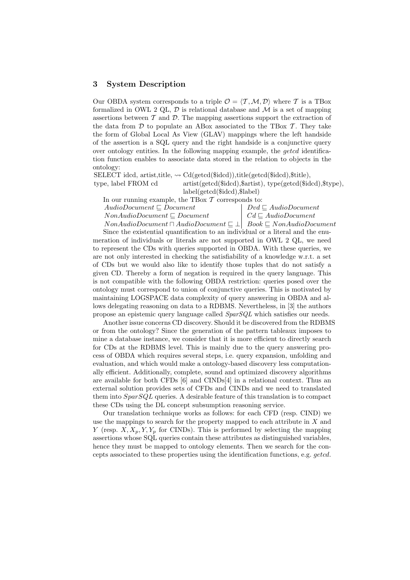### 3 System Description

Our OBDA system corresponds to a triple  $\mathcal{O} = \langle \mathcal{T}, \mathcal{M}, \mathcal{D} \rangle$  where  $\mathcal{T}$  is a TBox formalized in OWL 2 QL,  $\mathcal{D}$  is relational database and  $\mathcal{M}$  is a set of mapping assertions between  $T$  and  $D$ . The mapping assertions support the extraction of the data from  $D$  to populate an ABox associated to the TBox  $T$ . They take the form of Global Local As View (GLAV) mappings where the left handside of the assertion is a SQL query and the right handside is a conjunctive query over ontology entities. In the following mapping example, the *getcd* identification function enables to associate data stored in the relation to objects in the ontology:

SELECT idcd, artist,title,  $\sim$  Cd(getcd(\$idcd)),title(getcd(\$idcd),\$title), type, label FROM cd artist(getcd(\$idcd),\$artist), type(getcd(\$idcd),\$type), label(getcd(\$idcd),\$label)

| In our running example, the TBox $\mathcal T$ corresponds to: |                                        |
|---------------------------------------------------------------|----------------------------------------|
| $AudioDocument \sqsubset Document$                            | $Dvd \sqsubset \mathit{AudioDocument}$ |
| $NonAudioDocument \sqsubseteq Document$                       | $\mid C d \sqsubseteq AudioDocument$   |

 $NonAudioDocument \sqcap AudioDocument \sqsubseteq \bot \mid Book \sqsubseteq NonAudioDocument$ Since the existential quantification to an individual or a literal and the enumeration of individuals or literals are not supported in OWL 2 QL, we need to represent the CDs with queries supported in OBDA. With these queries, we are not only interested in checking the satisfiability of a knowledge w.r.t. a set of CDs but we would also like to identify those tuples that do not satisfy a given CD. Thereby a form of negation is required in the query language. This is not compatible with the following OBDA restriction: queries posed over the ontology must correspond to union of conjunctive queries. This is motivated by maintaining LOGSPACE data complexity of query answering in OBDA and allows delegating reasoning on data to a RDBMS. Nevertheless, in [3] the authors propose an epistemic query language called *SparSQL* which satisfies our needs.

Another issue concerns CD discovery. Should it be discovered from the RDBMS or from the ontology? Since the generation of the pattern tableaux imposes to mine a database instance, we consider that it is more efficient to directly search for CDs at the RDBMS level. This is mainly due to the query answering process of OBDA which requires several steps, i.e. query expansion, unfolding and evaluation, and which would make a ontology-based discovery less computationally efficient. Additionally, complete, sound and optimized discovery algorithms are available for both CFDs  $[6]$  and CINDs $[4]$  in a relational context. Thus an external solution provides sets of CFDs and CINDs and we need to translated them into *SparSQL* queries. A desirable feature of this translation is to compact these CDs using the DL concept subsumption reasoning service.

Our translation technique works as follows: for each CFD (resp. CIND) we use the mappings to search for the property mapped to each attribute in *X* and *Y* (resp.  $X, X_p, Y, Y_p$  for CINDs). This is performed by selecting the mapping assertions whose SQL queries contain these attributes as distinguished variables, hence they must be mapped to ontology elements. Then we search for the concepts associated to these properties using the identification functions, e.g. *getcd*.